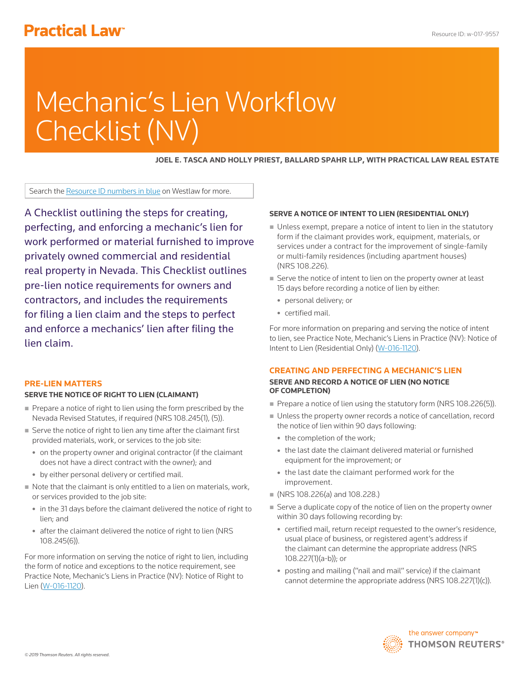# **Practical Law<sup>®</sup>**

# Mechanic's Lien Workflow Checklist (NV)

**JOEL E. TASCA AND HOLLY PRIEST, BALLARD SPAHR LLP, WITH PRACTICAL LAW REAL ESTATE**

Search the Resource ID numbers in blue on Westlaw for more.

A Checklist outlining the steps for creating, perfecting, and enforcing a mechanic's lien for work performed or material furnished to improve privately owned commercial and residential real property in Nevada. This Checklist outlines pre-lien notice requirements for owners and contractors, and includes the requirements for filing a lien claim and the steps to perfect and enforce a mechanics' lien after filing the lien claim.

#### **PRE-LIEN MATTERS**

#### **SERVE THE NOTICE OF RIGHT TO LIEN (CLAIMANT)**

- Prepare a notice of right to lien using the form prescribed by the Nevada Revised Statutes, if required (NRS 108.245(1), (5)).
- Serve the notice of right to lien any time after the claimant first provided materials, work, or services to the job site:
	- on the property owner and original contractor (if the claimant does not have a direct contract with the owner); and
	- by either personal delivery or certified mail.
- Note that the claimant is only entitled to a lien on materials, work, or services provided to the job site:
	- in the 31 days before the claimant delivered the notice of right to lien; and
	- after the claimant delivered the notice of right to lien (NRS 108.245(6)).

For more information on serving the notice of right to lien, including the form of notice and exceptions to the notice requirement, see Practice Note, Mechanic's Liens in Practice (NV): Notice of Right to Lien (W-016-1120).

## **SERVE A NOTICE OF INTENT TO LIEN (RESIDENTIAL ONLY)**

- Unless exempt, prepare a notice of intent to lien in the statutory form if the claimant provides work, equipment, materials, or services under a contract for the improvement of single-family or multi-family residences (including apartment houses) (NRS 108.226).
- Serve the notice of intent to lien on the property owner at least 15 days before recording a notice of lien by either:
	- personal delivery; or
	- certified mail.

For more information on preparing and serving the notice of intent to lien, see Practice Note, Mechanic's Liens in Practice (NV): Notice of Intent to Lien (Residential Only) (W-016-1120).

# **CREATING AND PERFECTING A MECHANIC'S LIEN**

## **SERVE AND RECORD A NOTICE OF LIEN (NO NOTICE OF COMPLETION)**

- Prepare a notice of lien using the statutory form (NRS 108.226(5)).
- Unless the property owner records a notice of cancellation, record the notice of lien within 90 days following:
	- the completion of the work;
	- the last date the claimant delivered material or furnished equipment for the improvement; or
	- the last date the claimant performed work for the improvement.
- (NRS 108.226(a) and 108.228.)
- Serve a duplicate copy of the notice of lien on the property owner within 30 days following recording by:
	- certified mail, return receipt requested to the owner's residence, usual place of business, or registered agent's address if the claimant can determine the appropriate address (NRS 108.227(1)(a-b)); or
	- posting and mailing ("nail and mail" service) if the claimant cannot determine the appropriate address (NRS 108.227(1)(c)).